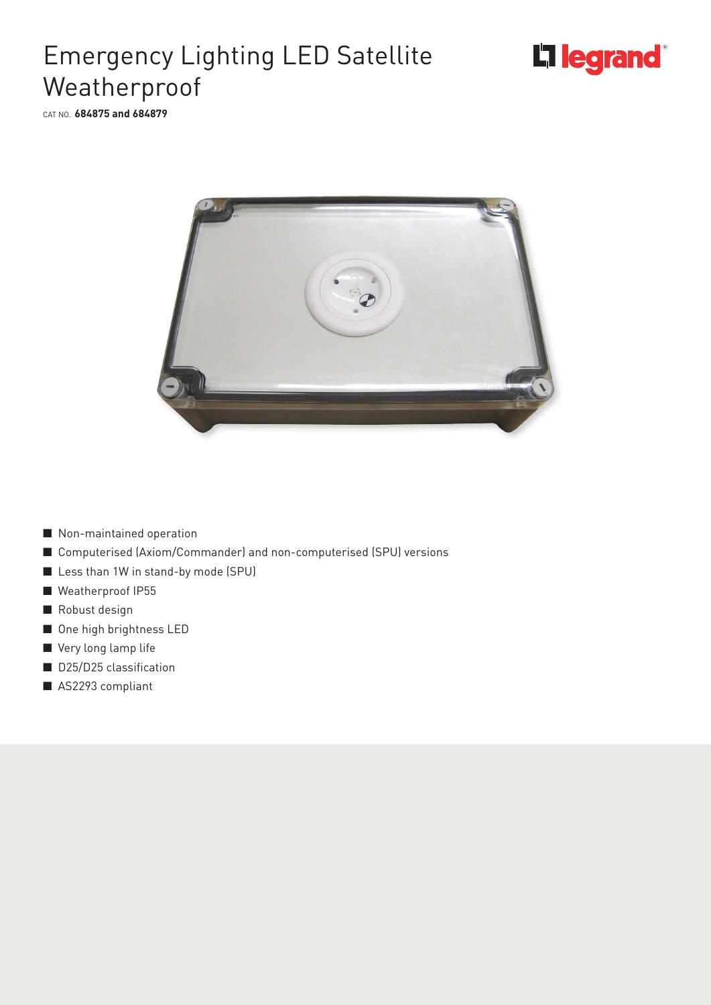

## Emergency Lighting LED Satellite Weatherproof

CAT NO. **684875 and 684879**



- Non-maintained operation
- Computerised (Axiom/Commander) and non-computerised (SPU) versions
- Less than 1W in stand-by mode (SPU)
- Weatherproof IP55
- Robust design
- One high brightness LED
- Very long lamp life
- D25/D25 classification
- AS2293 compliant